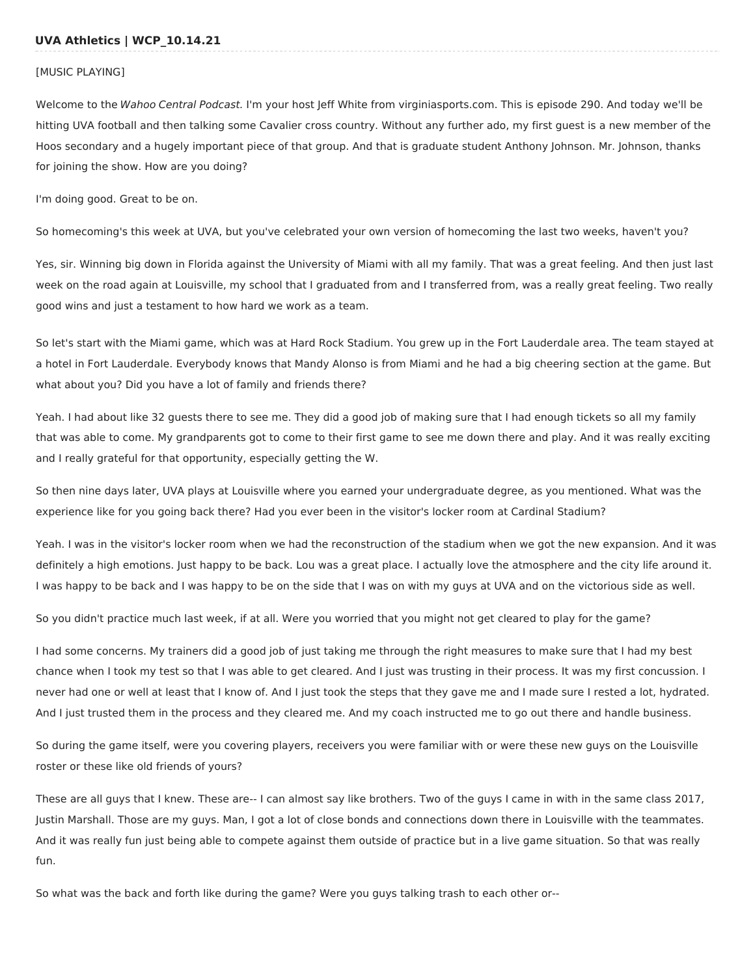### [MUSIC PLAYING]

Welcome to the Wahoo Central Podcast. I'm your host Jeff White from virginiasports.com. This is episode 290. And today we'll be hitting UVA football and then talking some Cavalier cross country. Without any further ado, my first guest is a new member of the Hoos secondary and a hugely important piece of that group. And that is graduate student Anthony Johnson. Mr. Johnson, thanks for joining the show. How are you doing?

I'm doing good. Great to be on.

So homecoming's this week at UVA, but you've celebrated your own version of homecoming the last two weeks, haven't you?

Yes, sir. Winning big down in Florida against the University of Miami with all my family. That was a great feeling. And then just last week on the road again at Louisville, my school that I graduated from and I transferred from, was a really great feeling. Two really good wins and just a testament to how hard we work as a team.

So let's start with the Miami game, which was at Hard Rock Stadium. You grew up in the Fort Lauderdale area. The team stayed at a hotel in Fort Lauderdale. Everybody knows that Mandy Alonso is from Miami and he had a big cheering section at the game. But what about you? Did you have a lot of family and friends there?

Yeah. I had about like 32 guests there to see me. They did a good job of making sure that I had enough tickets so all my family that was able to come. My grandparents got to come to their first game to see me down there and play. And it was really exciting and I really grateful for that opportunity, especially getting the W.

So then nine days later, UVA plays at Louisville where you earned your undergraduate degree, as you mentioned. What was the experience like for you going back there? Had you ever been in the visitor's locker room at Cardinal Stadium?

Yeah. I was in the visitor's locker room when we had the reconstruction of the stadium when we got the new expansion. And it was definitely a high emotions. Just happy to be back. Lou was a great place. I actually love the atmosphere and the city life around it. I was happy to be back and I was happy to be on the side that I was on with my guys at UVA and on the victorious side as well.

So you didn't practice much last week, if at all. Were you worried that you might not get cleared to play for the game?

I had some concerns. My trainers did a good job of just taking me through the right measures to make sure that I had my best chance when I took my test so that I was able to get cleared. And I just was trusting in their process. It was my first concussion. I never had one or well at least that I know of. And I just took the steps that they gave me and I made sure I rested a lot, hydrated. And I just trusted them in the process and they cleared me. And my coach instructed me to go out there and handle business.

So during the game itself, were you covering players, receivers you were familiar with or were these new guys on the Louisville roster or these like old friends of yours?

These are all guys that I knew. These are-- I can almost say like brothers. Two of the guys I came in with in the same class 2017, Justin Marshall. Those are my guys. Man, I got a lot of close bonds and connections down there in Louisville with the teammates. And it was really fun just being able to compete against them outside of practice but in a live game situation. So that was really fun.

So what was the back and forth like during the game? Were you guys talking trash to each other or--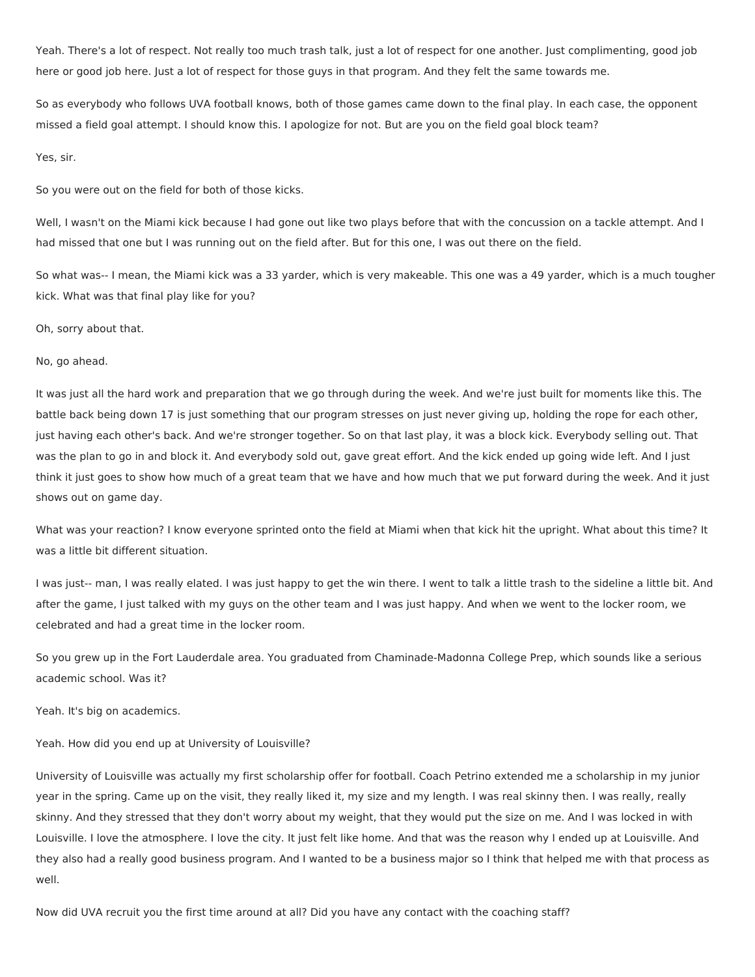Yeah. There's a lot of respect. Not really too much trash talk, just a lot of respect for one another. Just complimenting, good job here or good job here. Just a lot of respect for those guys in that program. And they felt the same towards me.

So as everybody who follows UVA football knows, both of those games came down to the final play. In each case, the opponent missed a field goal attempt. I should know this. I apologize for not. But are you on the field goal block team?

# Yes, sir.

So you were out on the field for both of those kicks.

Well, I wasn't on the Miami kick because I had gone out like two plays before that with the concussion on a tackle attempt. And I had missed that one but I was running out on the field after. But for this one, I was out there on the field.

So what was-- I mean, the Miami kick was a 33 yarder, which is very makeable. This one was a 49 yarder, which is a much tougher kick. What was that final play like for you?

## Oh, sorry about that.

## No, go ahead.

It was just all the hard work and preparation that we go through during the week. And we're just built for moments like this. The battle back being down 17 is just something that our program stresses on just never giving up, holding the rope for each other, just having each other's back. And we're stronger together. So on that last play, it was a block kick. Everybody selling out. That was the plan to go in and block it. And everybody sold out, gave great effort. And the kick ended up going wide left. And I just think it just goes to show how much of a great team that we have and how much that we put forward during the week. And it just shows out on game day.

What was your reaction? I know everyone sprinted onto the field at Miami when that kick hit the upright. What about this time? It was a little bit different situation.

I was just-- man, I was really elated. I was just happy to get the win there. I went to talk a little trash to the sideline a little bit. And after the game, I just talked with my guys on the other team and I was just happy. And when we went to the locker room, we celebrated and had a great time in the locker room.

So you grew up in the Fort Lauderdale area. You graduated from Chaminade-Madonna College Prep, which sounds like a serious academic school. Was it?

Yeah. It's big on academics.

Yeah. How did you end up at University of Louisville?

University of Louisville was actually my first scholarship offer for football. Coach Petrino extended me a scholarship in my junior year in the spring. Came up on the visit, they really liked it, my size and my length. I was real skinny then. I was really, really skinny. And they stressed that they don't worry about my weight, that they would put the size on me. And I was locked in with Louisville. I love the atmosphere. I love the city. It just felt like home. And that was the reason why I ended up at Louisville. And they also had a really good business program. And I wanted to be a business major so I think that helped me with that process as well.

Now did UVA recruit you the first time around at all? Did you have any contact with the coaching staff?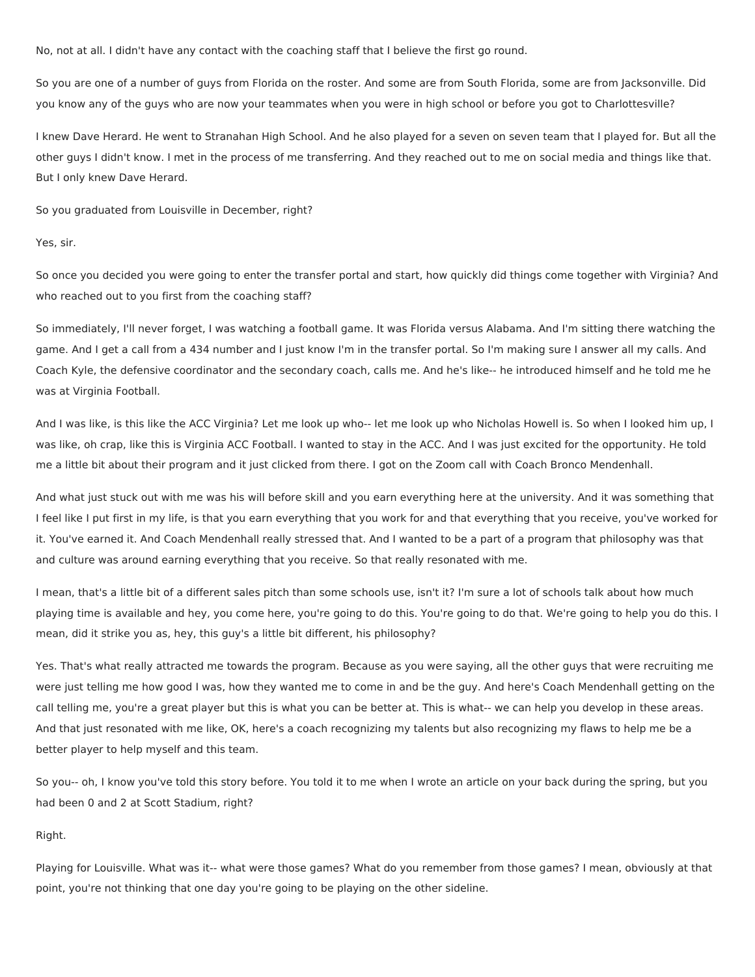No, not at all. I didn't have any contact with the coaching staff that I believe the first go round.

So you are one of a number of guys from Florida on the roster. And some are from South Florida, some are from Jacksonville. Did you know any of the guys who are now your teammates when you were in high school or before you got to Charlottesville?

I knew Dave Herard. He went to Stranahan High School. And he also played for a seven on seven team that I played for. But all the other guys I didn't know. I met in the process of me transferring. And they reached out to me on social media and things like that. But I only knew Dave Herard.

So you graduated from Louisville in December, right?

### Yes, sir.

So once you decided you were going to enter the transfer portal and start, how quickly did things come together with Virginia? And who reached out to you first from the coaching staff?

So immediately, I'll never forget, I was watching a football game. It was Florida versus Alabama. And I'm sitting there watching the game. And I get a call from a 434 number and I just know I'm in the transfer portal. So I'm making sure I answer all my calls. And Coach Kyle, the defensive coordinator and the secondary coach, calls me. And he's like-- he introduced himself and he told me he was at Virginia Football.

And I was like, is this like the ACC Virginia? Let me look up who-- let me look up who Nicholas Howell is. So when I looked him up, I was like, oh crap, like this is Virginia ACC Football. I wanted to stay in the ACC. And I was just excited for the opportunity. He told me a little bit about their program and it just clicked from there. I got on the Zoom call with Coach Bronco Mendenhall.

And what just stuck out with me was his will before skill and you earn everything here at the university. And it was something that I feel like I put first in my life, is that you earn everything that you work for and that everything that you receive, you've worked for it. You've earned it. And Coach Mendenhall really stressed that. And I wanted to be a part of a program that philosophy was that and culture was around earning everything that you receive. So that really resonated with me.

I mean, that's a little bit of a different sales pitch than some schools use, isn't it? I'm sure a lot of schools talk about how much playing time is available and hey, you come here, you're going to do this. You're going to do that. We're going to help you do this. I mean, did it strike you as, hey, this guy's a little bit different, his philosophy?

Yes. That's what really attracted me towards the program. Because as you were saying, all the other guys that were recruiting me were just telling me how good I was, how they wanted me to come in and be the guy. And here's Coach Mendenhall getting on the call telling me, you're a great player but this is what you can be better at. This is what-- we can help you develop in these areas. And that just resonated with me like, OK, here's a coach recognizing my talents but also recognizing my flaws to help me be a better player to help myself and this team.

So you-- oh, I know you've told this story before. You told it to me when I wrote an article on your back during the spring, but you had been 0 and 2 at Scott Stadium, right?

#### Right.

Playing for Louisville. What was it-- what were those games? What do you remember from those games? I mean, obviously at that point, you're not thinking that one day you're going to be playing on the other sideline.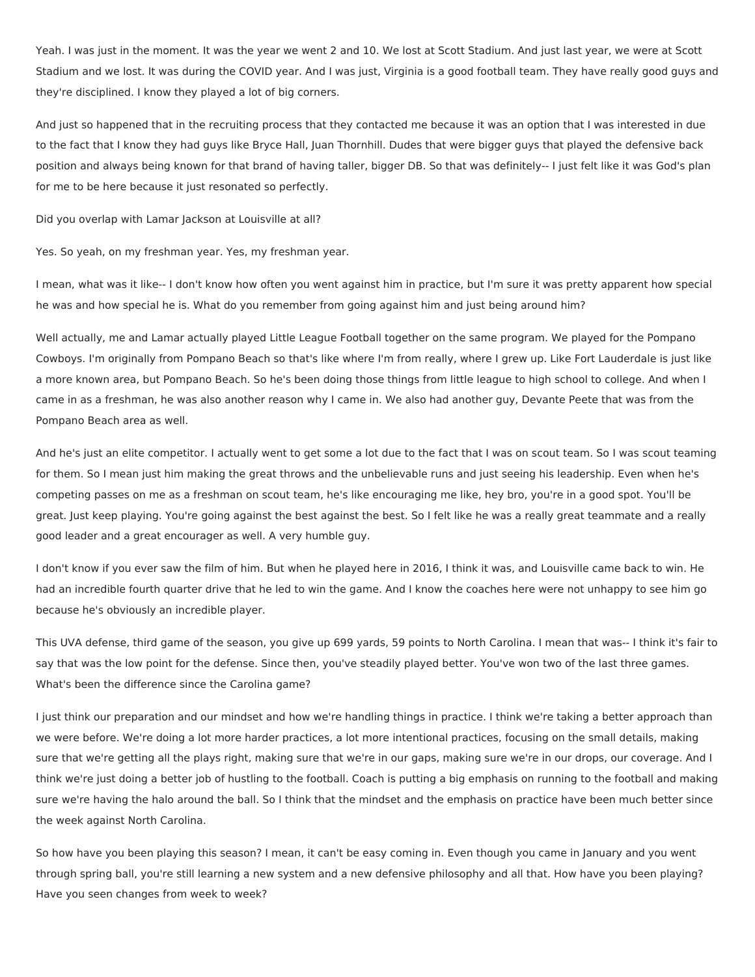Yeah. I was just in the moment. It was the year we went 2 and 10. We lost at Scott Stadium. And just last year, we were at Scott Stadium and we lost. It was during the COVID year. And I was just, Virginia is a good football team. They have really good guys and they're disciplined. I know they played a lot of big corners.

And just so happened that in the recruiting process that they contacted me because it was an option that I was interested in due to the fact that I know they had guys like Bryce Hall, Juan Thornhill. Dudes that were bigger guys that played the defensive back position and always being known for that brand of having taller, bigger DB. So that was definitely-- I just felt like it was God's plan for me to be here because it just resonated so perfectly.

Did you overlap with Lamar Jackson at Louisville at all?

Yes. So yeah, on my freshman year. Yes, my freshman year.

I mean, what was it like-- I don't know how often you went against him in practice, but I'm sure it was pretty apparent how special he was and how special he is. What do you remember from going against him and just being around him?

Well actually, me and Lamar actually played Little League Football together on the same program. We played for the Pompano Cowboys. I'm originally from Pompano Beach so that's like where I'm from really, where I grew up. Like Fort Lauderdale is just like a more known area, but Pompano Beach. So he's been doing those things from little league to high school to college. And when I came in as a freshman, he was also another reason why I came in. We also had another guy, Devante Peete that was from the Pompano Beach area as well.

And he's just an elite competitor. I actually went to get some a lot due to the fact that I was on scout team. So I was scout teaming for them. So I mean just him making the great throws and the unbelievable runs and just seeing his leadership. Even when he's competing passes on me as a freshman on scout team, he's like encouraging me like, hey bro, you're in a good spot. You'll be great. Just keep playing. You're going against the best against the best. So I felt like he was a really great teammate and a really good leader and a great encourager as well. A very humble guy.

I don't know if you ever saw the film of him. But when he played here in 2016, I think it was, and Louisville came back to win. He had an incredible fourth quarter drive that he led to win the game. And I know the coaches here were not unhappy to see him go because he's obviously an incredible player.

This UVA defense, third game of the season, you give up 699 yards, 59 points to North Carolina. I mean that was-- I think it's fair to say that was the low point for the defense. Since then, you've steadily played better. You've won two of the last three games. What's been the difference since the Carolina game?

I just think our preparation and our mindset and how we're handling things in practice. I think we're taking a better approach than we were before. We're doing a lot more harder practices, a lot more intentional practices, focusing on the small details, making sure that we're getting all the plays right, making sure that we're in our gaps, making sure we're in our drops, our coverage. And I think we're just doing a better job of hustling to the football. Coach is putting a big emphasis on running to the football and making sure we're having the halo around the ball. So I think that the mindset and the emphasis on practice have been much better since the week against North Carolina.

So how have you been playing this season? I mean, it can't be easy coming in. Even though you came in January and you went through spring ball, you're still learning a new system and a new defensive philosophy and all that. How have you been playing? Have you seen changes from week to week?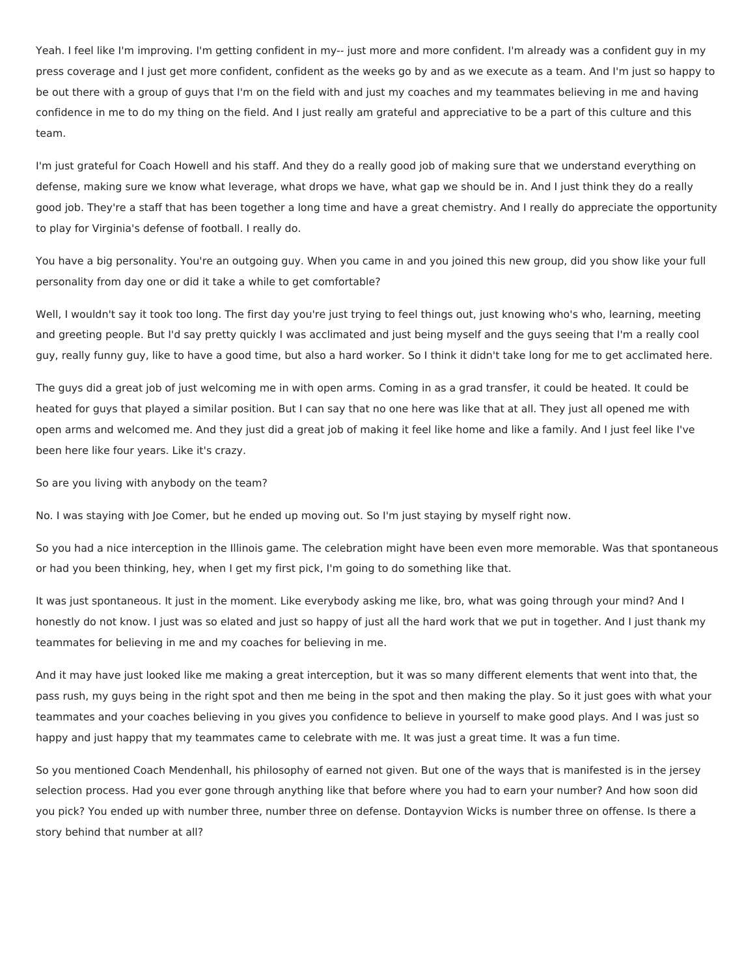Yeah. I feel like I'm improving. I'm getting confident in my-- just more and more confident. I'm already was a confident guy in my press coverage and I just get more confident, confident as the weeks go by and as we execute as a team. And I'm just so happy to be out there with a group of guys that I'm on the field with and just my coaches and my teammates believing in me and having confidence in me to do my thing on the field. And I just really am grateful and appreciative to be a part of this culture and this team.

I'm just grateful for Coach Howell and his staff. And they do a really good job of making sure that we understand everything on defense, making sure we know what leverage, what drops we have, what gap we should be in. And I just think they do a really good job. They're a staff that has been together a long time and have a great chemistry. And I really do appreciate the opportunity to play for Virginia's defense of football. I really do.

You have a big personality. You're an outgoing guy. When you came in and you joined this new group, did you show like your full personality from day one or did it take a while to get comfortable?

Well, I wouldn't say it took too long. The first day you're just trying to feel things out, just knowing who's who, learning, meeting and greeting people. But I'd say pretty quickly I was acclimated and just being myself and the guys seeing that I'm a really cool guy, really funny guy, like to have a good time, but also a hard worker. So I think it didn't take long for me to get acclimated here.

The guys did a great job of just welcoming me in with open arms. Coming in as a grad transfer, it could be heated. It could be heated for guys that played a similar position. But I can say that no one here was like that at all. They just all opened me with open arms and welcomed me. And they just did a great job of making it feel like home and like a family. And I just feel like I've been here like four years. Like it's crazy.

So are you living with anybody on the team?

No. I was staying with Joe Comer, but he ended up moving out. So I'm just staying by myself right now.

So you had a nice interception in the Illinois game. The celebration might have been even more memorable. Was that spontaneous or had you been thinking, hey, when I get my first pick, I'm going to do something like that.

It was just spontaneous. It just in the moment. Like everybody asking me like, bro, what was going through your mind? And I honestly do not know. I just was so elated and just so happy of just all the hard work that we put in together. And I just thank my teammates for believing in me and my coaches for believing in me.

And it may have just looked like me making a great interception, but it was so many different elements that went into that, the pass rush, my guys being in the right spot and then me being in the spot and then making the play. So it just goes with what your teammates and your coaches believing in you gives you confidence to believe in yourself to make good plays. And I was just so happy and just happy that my teammates came to celebrate with me. It was just a great time. It was a fun time.

So you mentioned Coach Mendenhall, his philosophy of earned not given. But one of the ways that is manifested is in the jersey selection process. Had you ever gone through anything like that before where you had to earn your number? And how soon did you pick? You ended up with number three, number three on defense. Dontayvion Wicks is number three on offense. Is there a story behind that number at all?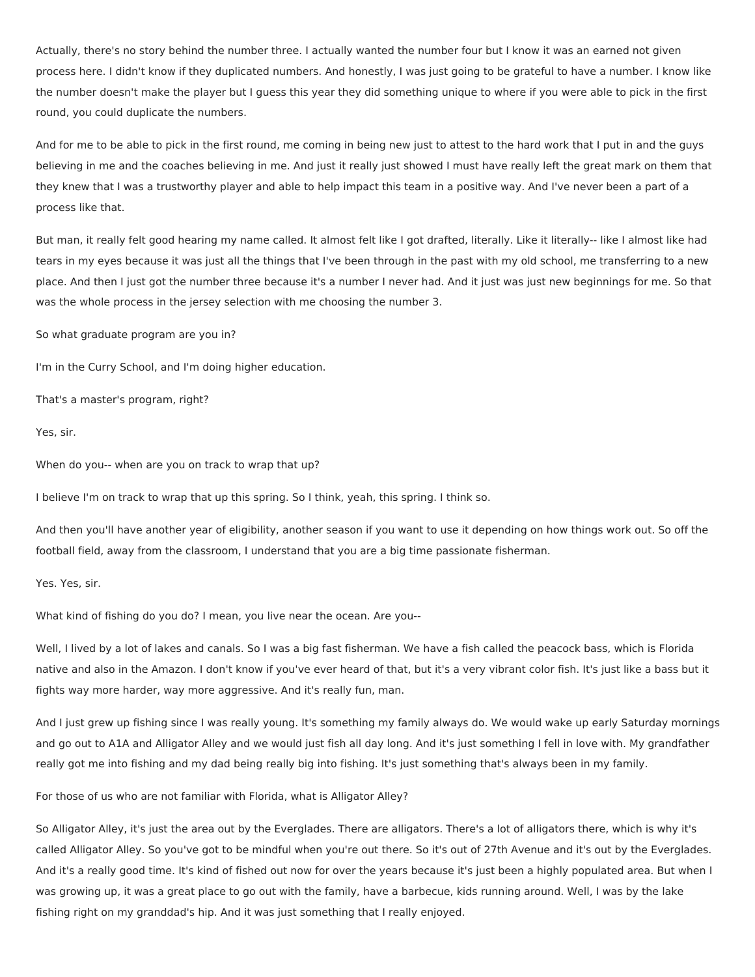Actually, there's no story behind the number three. I actually wanted the number four but I know it was an earned not given process here. I didn't know if they duplicated numbers. And honestly, I was just going to be grateful to have a number. I know like the number doesn't make the player but I guess this year they did something unique to where if you were able to pick in the first round, you could duplicate the numbers.

And for me to be able to pick in the first round, me coming in being new just to attest to the hard work that I put in and the guys believing in me and the coaches believing in me. And just it really just showed I must have really left the great mark on them that they knew that I was a trustworthy player and able to help impact this team in a positive way. And I've never been a part of a process like that.

But man, it really felt good hearing my name called. It almost felt like I got drafted, literally. Like it literally-- like I almost like had tears in my eyes because it was just all the things that I've been through in the past with my old school, me transferring to a new place. And then I just got the number three because it's a number I never had. And it just was just new beginnings for me. So that was the whole process in the jersey selection with me choosing the number 3.

So what graduate program are you in?

I'm in the Curry School, and I'm doing higher education.

That's a master's program, right?

Yes, sir.

When do you-- when are you on track to wrap that up?

I believe I'm on track to wrap that up this spring. So I think, yeah, this spring. I think so.

And then you'll have another year of eligibility, another season if you want to use it depending on how things work out. So off the football field, away from the classroom, I understand that you are a big time passionate fisherman.

Yes. Yes, sir.

What kind of fishing do you do? I mean, you live near the ocean. Are you--

Well, I lived by a lot of lakes and canals. So I was a big fast fisherman. We have a fish called the peacock bass, which is Florida native and also in the Amazon. I don't know if you've ever heard of that, but it's a very vibrant color fish. It's just like a bass but it fights way more harder, way more aggressive. And it's really fun, man.

And I just grew up fishing since I was really young. It's something my family always do. We would wake up early Saturday mornings and go out to A1A and Alligator Alley and we would just fish all day long. And it's just something I fell in love with. My grandfather really got me into fishing and my dad being really big into fishing. It's just something that's always been in my family.

For those of us who are not familiar with Florida, what is Alligator Alley?

So Alligator Alley, it's just the area out by the Everglades. There are alligators. There's a lot of alligators there, which is why it's called Alligator Alley. So you've got to be mindful when you're out there. So it's out of 27th Avenue and it's out by the Everglades. And it's a really good time. It's kind of fished out now for over the years because it's just been a highly populated area. But when I was growing up, it was a great place to go out with the family, have a barbecue, kids running around. Well, I was by the lake fishing right on my granddad's hip. And it was just something that I really enjoyed.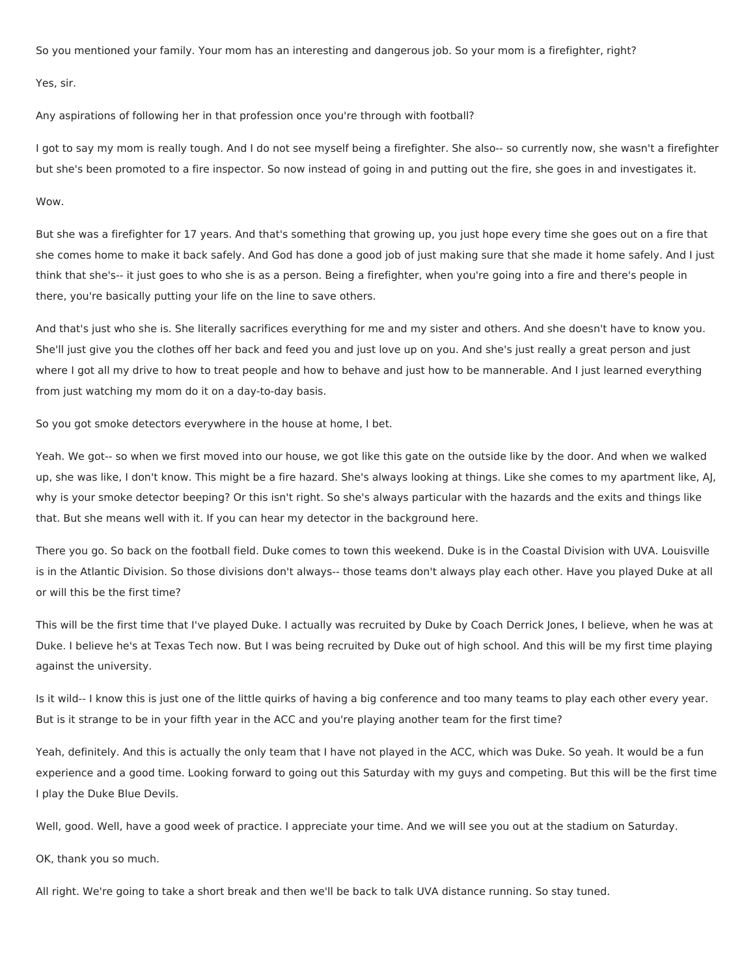So you mentioned your family. Your mom has an interesting and dangerous job. So your mom is a firefighter, right?

Yes, sir.

Any aspirations of following her in that profession once you're through with football?

I got to say my mom is really tough. And I do not see myself being a firefighter. She also-- so currently now, she wasn't a firefighter but she's been promoted to a fire inspector. So now instead of going in and putting out the fire, she goes in and investigates it.

## Wow.

But she was a firefighter for 17 years. And that's something that growing up, you just hope every time she goes out on a fire that she comes home to make it back safely. And God has done a good job of just making sure that she made it home safely. And I just think that she's-- it just goes to who she is as a person. Being a firefighter, when you're going into a fire and there's people in there, you're basically putting your life on the line to save others.

And that's just who she is. She literally sacrifices everything for me and my sister and others. And she doesn't have to know you. She'll just give you the clothes off her back and feed you and just love up on you. And she's just really a great person and just where I got all my drive to how to treat people and how to behave and just how to be mannerable. And I just learned everything from just watching my mom do it on a day-to-day basis.

So you got smoke detectors everywhere in the house at home, I bet.

Yeah. We got-- so when we first moved into our house, we got like this gate on the outside like by the door. And when we walked up, she was like, I don't know. This might be a fire hazard. She's always looking at things. Like she comes to my apartment like, AJ, why is your smoke detector beeping? Or this isn't right. So she's always particular with the hazards and the exits and things like that. But she means well with it. If you can hear my detector in the background here.

There you go. So back on the football field. Duke comes to town this weekend. Duke is in the Coastal Division with UVA. Louisville is in the Atlantic Division. So those divisions don't always-- those teams don't always play each other. Have you played Duke at all or will this be the first time?

This will be the first time that I've played Duke. I actually was recruited by Duke by Coach Derrick Jones, I believe, when he was at Duke. I believe he's at Texas Tech now. But I was being recruited by Duke out of high school. And this will be my first time playing against the university.

Is it wild-- I know this is just one of the little quirks of having a big conference and too many teams to play each other every year. But is it strange to be in your fifth year in the ACC and you're playing another team for the first time?

Yeah, definitely. And this is actually the only team that I have not played in the ACC, which was Duke. So yeah. It would be a fun experience and a good time. Looking forward to going out this Saturday with my guys and competing. But this will be the first time I play the Duke Blue Devils.

Well, good. Well, have a good week of practice. I appreciate your time. And we will see you out at the stadium on Saturday.

OK, thank you so much.

All right. We're going to take a short break and then we'll be back to talk UVA distance running. So stay tuned.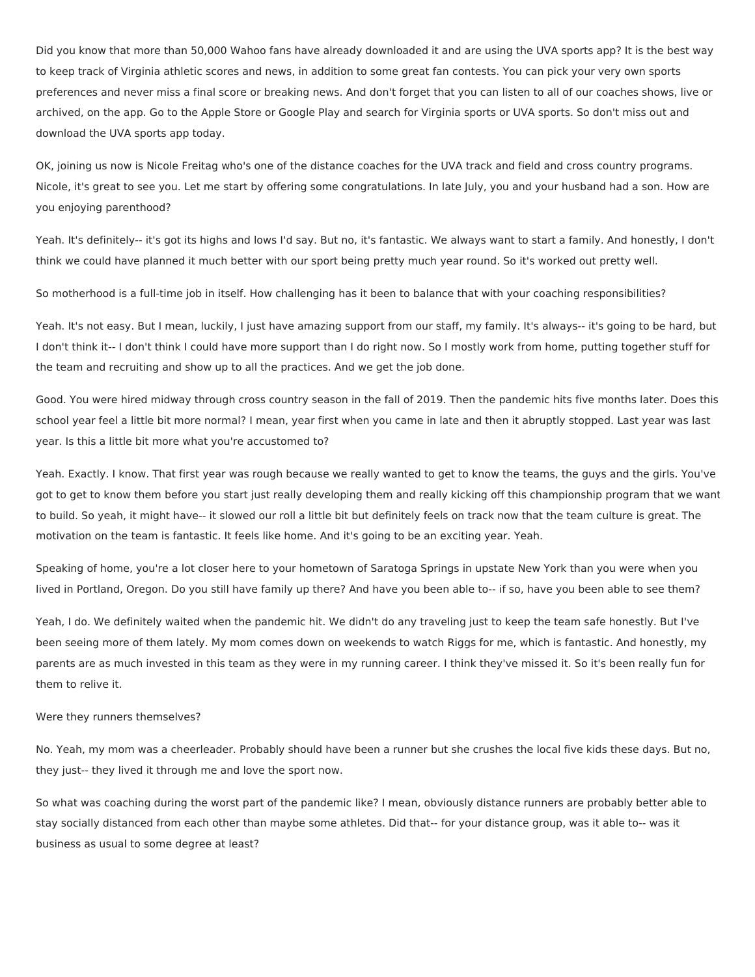Did you know that more than 50,000 Wahoo fans have already downloaded it and are using the UVA sports app? It is the best way to keep track of Virginia athletic scores and news, in addition to some great fan contests. You can pick your very own sports preferences and never miss a final score or breaking news. And don't forget that you can listen to all of our coaches shows, live or archived, on the app. Go to the Apple Store or Google Play and search for Virginia sports or UVA sports. So don't miss out and download the UVA sports app today.

OK, joining us now is Nicole Freitag who's one of the distance coaches for the UVA track and field and cross country programs. Nicole, it's great to see you. Let me start by offering some congratulations. In late July, you and your husband had a son. How are you enjoying parenthood?

Yeah. It's definitely-- it's got its highs and lows I'd say. But no, it's fantastic. We always want to start a family. And honestly, I don't think we could have planned it much better with our sport being pretty much year round. So it's worked out pretty well.

So motherhood is a full-time job in itself. How challenging has it been to balance that with your coaching responsibilities?

Yeah. It's not easy. But I mean, luckily, I just have amazing support from our staff, my family. It's always-- it's going to be hard, but I don't think it-- I don't think I could have more support than I do right now. So I mostly work from home, putting together stuff for the team and recruiting and show up to all the practices. And we get the job done.

Good. You were hired midway through cross country season in the fall of 2019. Then the pandemic hits five months later. Does this school year feel a little bit more normal? I mean, year first when you came in late and then it abruptly stopped. Last year was last year. Is this a little bit more what you're accustomed to?

Yeah. Exactly. I know. That first year was rough because we really wanted to get to know the teams, the guys and the girls. You've got to get to know them before you start just really developing them and really kicking off this championship program that we want to build. So yeah, it might have-- it slowed our roll a little bit but definitely feels on track now that the team culture is great. The motivation on the team is fantastic. It feels like home. And it's going to be an exciting year. Yeah.

Speaking of home, you're a lot closer here to your hometown of Saratoga Springs in upstate New York than you were when you lived in Portland, Oregon. Do you still have family up there? And have you been able to-- if so, have you been able to see them?

Yeah, I do. We definitely waited when the pandemic hit. We didn't do any traveling just to keep the team safe honestly. But I've been seeing more of them lately. My mom comes down on weekends to watch Riggs for me, which is fantastic. And honestly, my parents are as much invested in this team as they were in my running career. I think they've missed it. So it's been really fun for them to relive it.

#### Were they runners themselves?

No. Yeah, my mom was a cheerleader. Probably should have been a runner but she crushes the local five kids these days. But no, they just-- they lived it through me and love the sport now.

So what was coaching during the worst part of the pandemic like? I mean, obviously distance runners are probably better able to stay socially distanced from each other than maybe some athletes. Did that-- for your distance group, was it able to-- was it business as usual to some degree at least?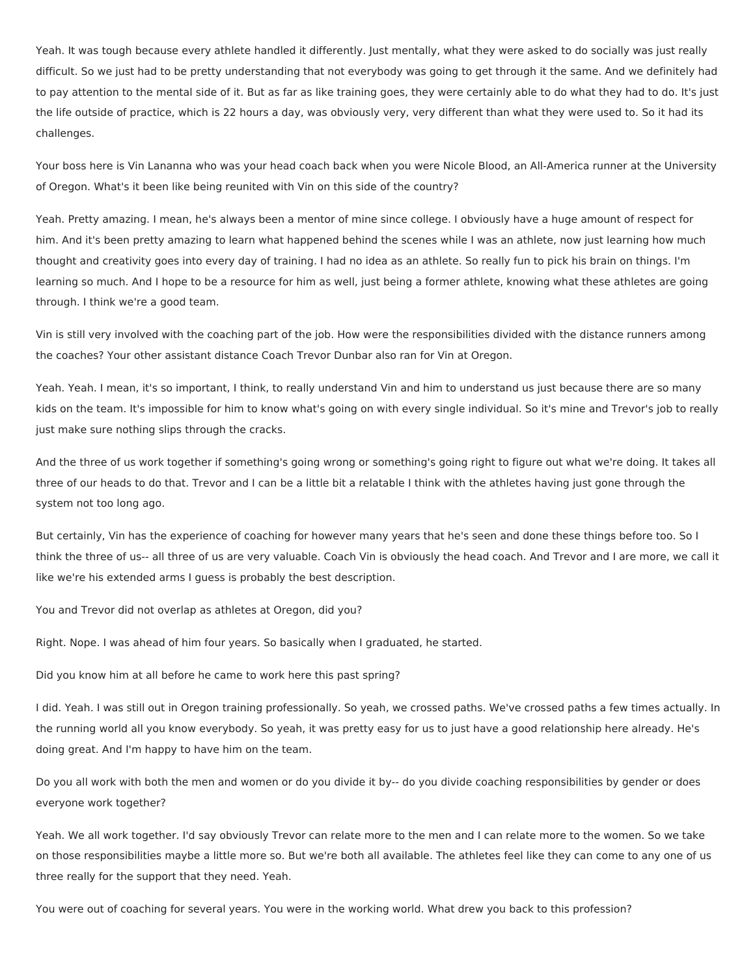Yeah. It was tough because every athlete handled it differently. Just mentally, what they were asked to do socially was just really difficult. So we just had to be pretty understanding that not everybody was going to get through it the same. And we definitely had to pay attention to the mental side of it. But as far as like training goes, they were certainly able to do what they had to do. It's just the life outside of practice, which is 22 hours a day, was obviously very, very different than what they were used to. So it had its challenges.

Your boss here is Vin Lananna who was your head coach back when you were Nicole Blood, an All-America runner at the University of Oregon. What's it been like being reunited with Vin on this side of the country?

Yeah. Pretty amazing. I mean, he's always been a mentor of mine since college. I obviously have a huge amount of respect for him. And it's been pretty amazing to learn what happened behind the scenes while I was an athlete, now just learning how much thought and creativity goes into every day of training. I had no idea as an athlete. So really fun to pick his brain on things. I'm learning so much. And I hope to be a resource for him as well, just being a former athlete, knowing what these athletes are going through. I think we're a good team.

Vin is still very involved with the coaching part of the job. How were the responsibilities divided with the distance runners among the coaches? Your other assistant distance Coach Trevor Dunbar also ran for Vin at Oregon.

Yeah. Yeah. I mean, it's so important, I think, to really understand Vin and him to understand us just because there are so many kids on the team. It's impossible for him to know what's going on with every single individual. So it's mine and Trevor's job to really just make sure nothing slips through the cracks.

And the three of us work together if something's going wrong or something's going right to figure out what we're doing. It takes all three of our heads to do that. Trevor and I can be a little bit a relatable I think with the athletes having just gone through the system not too long ago.

But certainly, Vin has the experience of coaching for however many years that he's seen and done these things before too. So I think the three of us-- all three of us are very valuable. Coach Vin is obviously the head coach. And Trevor and I are more, we call it like we're his extended arms I guess is probably the best description.

You and Trevor did not overlap as athletes at Oregon, did you?

Right. Nope. I was ahead of him four years. So basically when I graduated, he started.

Did you know him at all before he came to work here this past spring?

I did. Yeah. I was still out in Oregon training professionally. So yeah, we crossed paths. We've crossed paths a few times actually. In the running world all you know everybody. So yeah, it was pretty easy for us to just have a good relationship here already. He's doing great. And I'm happy to have him on the team.

Do you all work with both the men and women or do you divide it by-- do you divide coaching responsibilities by gender or does everyone work together?

Yeah. We all work together. I'd say obviously Trevor can relate more to the men and I can relate more to the women. So we take on those responsibilities maybe a little more so. But we're both all available. The athletes feel like they can come to any one of us three really for the support that they need. Yeah.

You were out of coaching for several years. You were in the working world. What drew you back to this profession?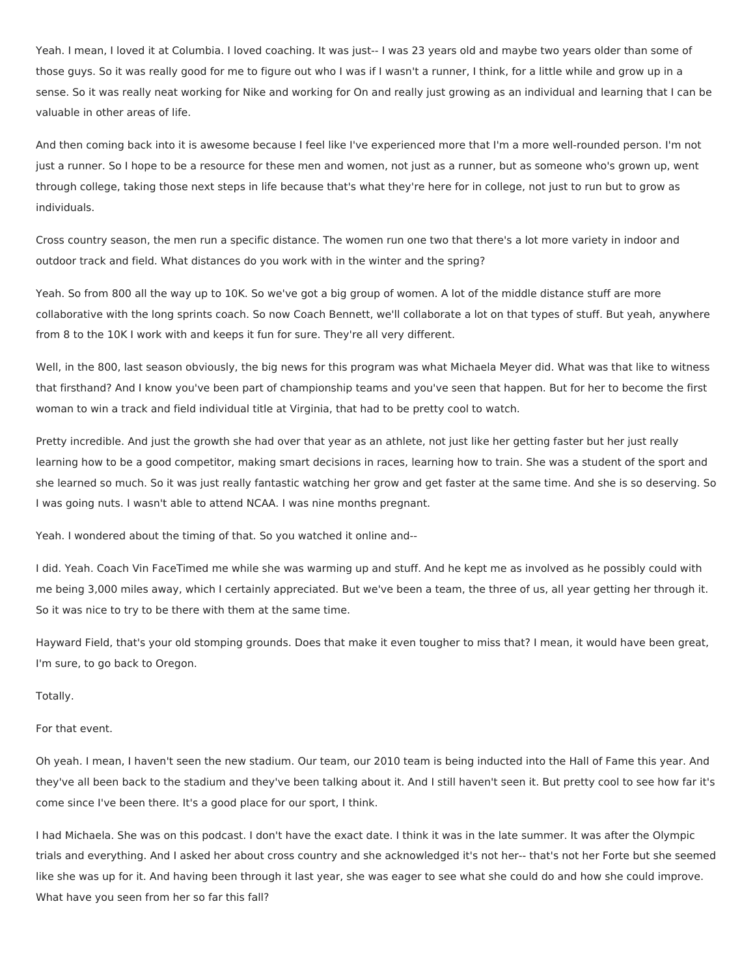Yeah. I mean, I loved it at Columbia. I loved coaching. It was just-- I was 23 years old and maybe two years older than some of those guys. So it was really good for me to figure out who I was if I wasn't a runner, I think, for a little while and grow up in a sense. So it was really neat working for Nike and working for On and really just growing as an individual and learning that I can be valuable in other areas of life.

And then coming back into it is awesome because I feel like I've experienced more that I'm a more well-rounded person. I'm not just a runner. So I hope to be a resource for these men and women, not just as a runner, but as someone who's grown up, went through college, taking those next steps in life because that's what they're here for in college, not just to run but to grow as individuals.

Cross country season, the men run a specific distance. The women run one two that there's a lot more variety in indoor and outdoor track and field. What distances do you work with in the winter and the spring?

Yeah. So from 800 all the way up to 10K. So we've got a big group of women. A lot of the middle distance stuff are more collaborative with the long sprints coach. So now Coach Bennett, we'll collaborate a lot on that types of stuff. But yeah, anywhere from 8 to the 10K I work with and keeps it fun for sure. They're all very different.

Well, in the 800, last season obviously, the big news for this program was what Michaela Meyer did. What was that like to witness that firsthand? And I know you've been part of championship teams and you've seen that happen. But for her to become the first woman to win a track and field individual title at Virginia, that had to be pretty cool to watch.

Pretty incredible. And just the growth she had over that year as an athlete, not just like her getting faster but her just really learning how to be a good competitor, making smart decisions in races, learning how to train. She was a student of the sport and she learned so much. So it was just really fantastic watching her grow and get faster at the same time. And she is so deserving. So I was going nuts. I wasn't able to attend NCAA. I was nine months pregnant.

Yeah. I wondered about the timing of that. So you watched it online and--

I did. Yeah. Coach Vin FaceTimed me while she was warming up and stuff. And he kept me as involved as he possibly could with me being 3,000 miles away, which I certainly appreciated. But we've been a team, the three of us, all year getting her through it. So it was nice to try to be there with them at the same time.

Hayward Field, that's your old stomping grounds. Does that make it even tougher to miss that? I mean, it would have been great, I'm sure, to go back to Oregon.

Totally.

# For that event.

Oh yeah. I mean, I haven't seen the new stadium. Our team, our 2010 team is being inducted into the Hall of Fame this year. And they've all been back to the stadium and they've been talking about it. And I still haven't seen it. But pretty cool to see how far it's come since I've been there. It's a good place for our sport, I think.

I had Michaela. She was on this podcast. I don't have the exact date. I think it was in the late summer. It was after the Olympic trials and everything. And I asked her about cross country and she acknowledged it's not her-- that's not her Forte but she seemed like she was up for it. And having been through it last year, she was eager to see what she could do and how she could improve. What have you seen from her so far this fall?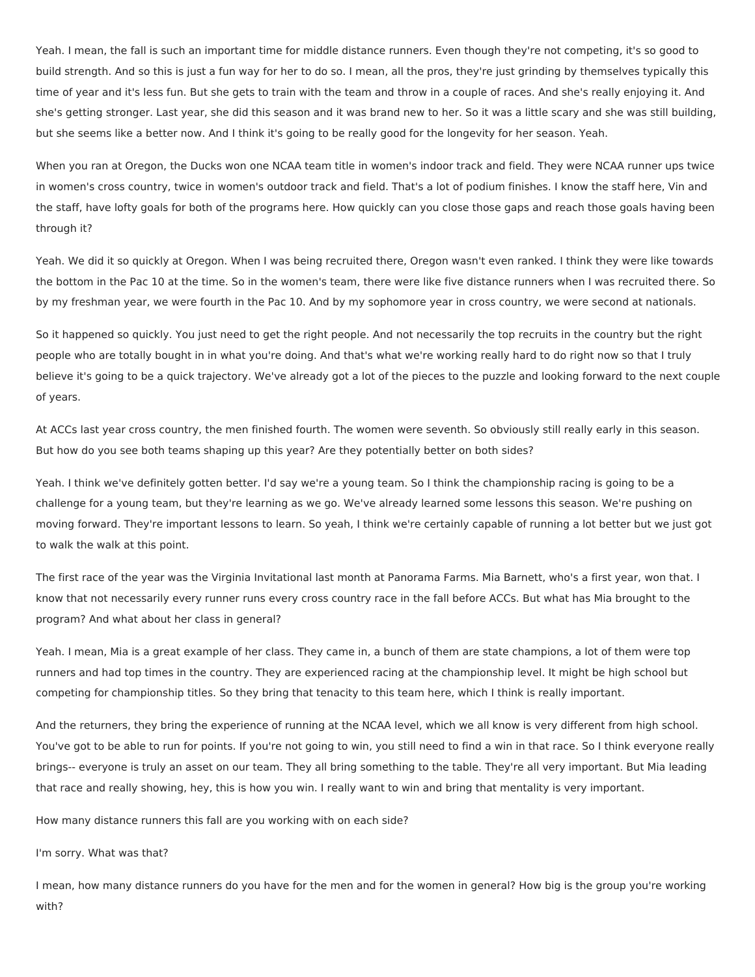Yeah. I mean, the fall is such an important time for middle distance runners. Even though they're not competing, it's so good to build strength. And so this is just a fun way for her to do so. I mean, all the pros, they're just grinding by themselves typically this time of year and it's less fun. But she gets to train with the team and throw in a couple of races. And she's really enjoying it. And she's getting stronger. Last year, she did this season and it was brand new to her. So it was a little scary and she was still building, but she seems like a better now. And I think it's going to be really good for the longevity for her season. Yeah.

When you ran at Oregon, the Ducks won one NCAA team title in women's indoor track and field. They were NCAA runner ups twice in women's cross country, twice in women's outdoor track and field. That's a lot of podium finishes. I know the staff here, Vin and the staff, have lofty goals for both of the programs here. How quickly can you close those gaps and reach those goals having been through it?

Yeah. We did it so quickly at Oregon. When I was being recruited there, Oregon wasn't even ranked. I think they were like towards the bottom in the Pac 10 at the time. So in the women's team, there were like five distance runners when I was recruited there. So by my freshman year, we were fourth in the Pac 10. And by my sophomore year in cross country, we were second at nationals.

So it happened so quickly. You just need to get the right people. And not necessarily the top recruits in the country but the right people who are totally bought in in what you're doing. And that's what we're working really hard to do right now so that I truly believe it's going to be a quick trajectory. We've already got a lot of the pieces to the puzzle and looking forward to the next couple of years.

At ACCs last year cross country, the men finished fourth. The women were seventh. So obviously still really early in this season. But how do you see both teams shaping up this year? Are they potentially better on both sides?

Yeah. I think we've definitely gotten better. I'd say we're a young team. So I think the championship racing is going to be a challenge for a young team, but they're learning as we go. We've already learned some lessons this season. We're pushing on moving forward. They're important lessons to learn. So yeah, I think we're certainly capable of running a lot better but we just got to walk the walk at this point.

The first race of the year was the Virginia Invitational last month at Panorama Farms. Mia Barnett, who's a first year, won that. I know that not necessarily every runner runs every cross country race in the fall before ACCs. But what has Mia brought to the program? And what about her class in general?

Yeah. I mean, Mia is a great example of her class. They came in, a bunch of them are state champions, a lot of them were top runners and had top times in the country. They are experienced racing at the championship level. It might be high school but competing for championship titles. So they bring that tenacity to this team here, which I think is really important.

And the returners, they bring the experience of running at the NCAA level, which we all know is very different from high school. You've got to be able to run for points. If you're not going to win, you still need to find a win in that race. So I think everyone really brings-- everyone is truly an asset on our team. They all bring something to the table. They're all very important. But Mia leading that race and really showing, hey, this is how you win. I really want to win and bring that mentality is very important.

How many distance runners this fall are you working with on each side?

I'm sorry. What was that?

I mean, how many distance runners do you have for the men and for the women in general? How big is the group you're working with?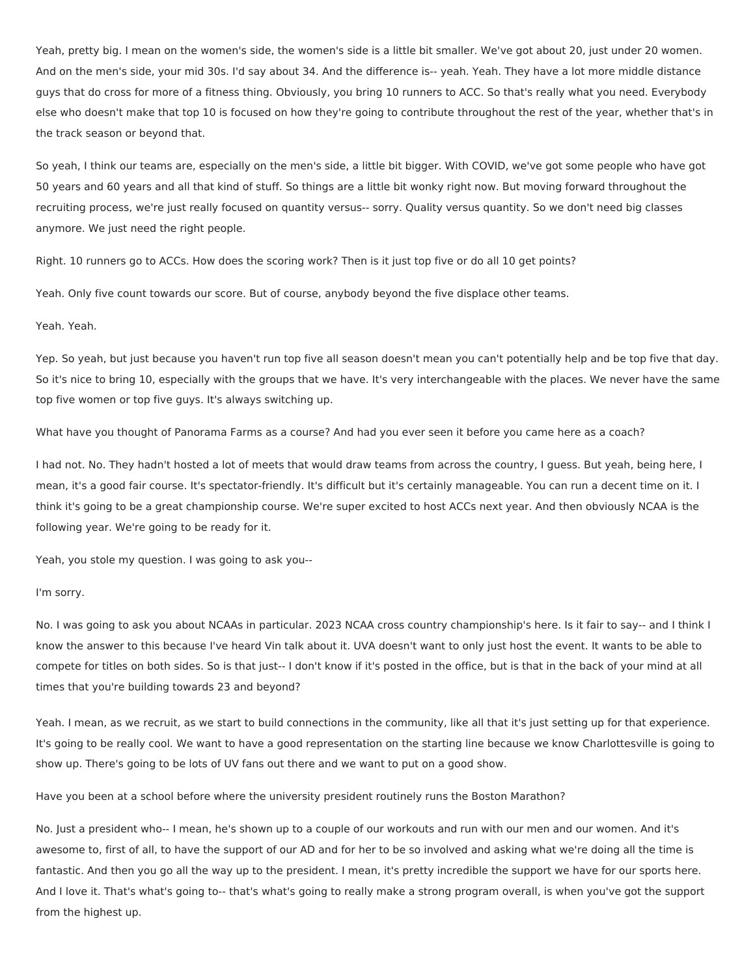Yeah, pretty big. I mean on the women's side, the women's side is a little bit smaller. We've got about 20, just under 20 women. And on the men's side, your mid 30s. I'd say about 34. And the difference is-- yeah. Yeah. They have a lot more middle distance guys that do cross for more of a fitness thing. Obviously, you bring 10 runners to ACC. So that's really what you need. Everybody else who doesn't make that top 10 is focused on how they're going to contribute throughout the rest of the year, whether that's in the track season or beyond that.

So yeah, I think our teams are, especially on the men's side, a little bit bigger. With COVID, we've got some people who have got 50 years and 60 years and all that kind of stuff. So things are a little bit wonky right now. But moving forward throughout the recruiting process, we're just really focused on quantity versus-- sorry. Quality versus quantity. So we don't need big classes anymore. We just need the right people.

Right. 10 runners go to ACCs. How does the scoring work? Then is it just top five or do all 10 get points?

Yeah. Only five count towards our score. But of course, anybody beyond the five displace other teams.

## Yeah. Yeah.

Yep. So yeah, but just because you haven't run top five all season doesn't mean you can't potentially help and be top five that day. So it's nice to bring 10, especially with the groups that we have. It's very interchangeable with the places. We never have the same top five women or top five guys. It's always switching up.

What have you thought of Panorama Farms as a course? And had you ever seen it before you came here as a coach?

I had not. No. They hadn't hosted a lot of meets that would draw teams from across the country, I guess. But yeah, being here, I mean, it's a good fair course. It's spectator-friendly. It's difficult but it's certainly manageable. You can run a decent time on it. I think it's going to be a great championship course. We're super excited to host ACCs next year. And then obviously NCAA is the following year. We're going to be ready for it.

Yeah, you stole my question. I was going to ask you--

### I'm sorry.

No. I was going to ask you about NCAAs in particular. 2023 NCAA cross country championship's here. Is it fair to say-- and I think I know the answer to this because I've heard Vin talk about it. UVA doesn't want to only just host the event. It wants to be able to compete for titles on both sides. So is that just-- I don't know if it's posted in the office, but is that in the back of your mind at all times that you're building towards 23 and beyond?

Yeah. I mean, as we recruit, as we start to build connections in the community, like all that it's just setting up for that experience. It's going to be really cool. We want to have a good representation on the starting line because we know Charlottesville is going to show up. There's going to be lots of UV fans out there and we want to put on a good show.

Have you been at a school before where the university president routinely runs the Boston Marathon?

No. Just a president who-- I mean, he's shown up to a couple of our workouts and run with our men and our women. And it's awesome to, first of all, to have the support of our AD and for her to be so involved and asking what we're doing all the time is fantastic. And then you go all the way up to the president. I mean, it's pretty incredible the support we have for our sports here. And I love it. That's what's going to-- that's what's going to really make a strong program overall, is when you've got the support from the highest up.